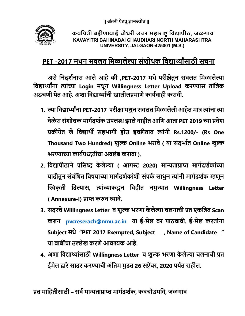

# कवयित्री बहीणाबाई चौधरी उत्तर महाराष्ट विद्यापीठ, जळगाव KAVAYITRI BAHINABAI CHAUDHARI NORTH MAHARASHTRA UNIVERSITY, JALGAON-425001 (M.S.)

# PET -2017 मधुन सवलत मिळालेल्या संशोधक विद्यार्थ्यांसाठी सुचना

असे निदर्शनास आले आहे की ,PET-2017 मधे परीक्षेतुन सवलत मिळालेल्या विद्यार्थ्यांना त्यांच्या Login मधून Willingness Letter Upload करण्यास तांत्रिक अडचणी येत आहे. अशा विद्यार्थ्यांनी खालीलप्रमाणे कार्यवाही करावी.

- 1. ज्या विद्यार्थ्यांना PET-2017 परीक्षा मधुन सवलत मिळालेली आहेत मात्र त्यांना त्या वेळेस संशोधक मार्गदर्शक उपलब्ध झाले नाहीत आणि आता PET 2019 च्या प्रवेश प्रक्रीयेत जे विद्यार्थी सहभागी होउ इच्छीतात त्यांनी Rs.1200/- (Rs One Thousand Two Hundred) शुल्क Online भरावे ( या संदर्भात Online शुल्क भरण्याच्या कार्यपध्दतीचा अवलंब करावा ).
- 2. विद्यापीठाने प्रसिध्द केलेल्या ( आगस्ट 2020) मान्यताप्राप्त मार्गदर्शकांच्या यादीतुन संबंधित विषयाच्या मार्गदर्शकांशी संपर्क साधुन त्यांनी मार्गदर्शक म्हणून स्विकृती दिल्यास, त्यांच्याकडून विहीत नमुन्यात Willingness Letter ( Annexure-I) प्राप्त करुन घ्यावे.
- 3. सदरचे Willingness Letter व शुल्क भरणा केलेल्या चलनाची प्रत एकत्रित Scan करुन pvcreserach@nmu.ac.in या ई-मेल वर पाठवावी. ई-मेल करतांना Subject मधे "PET 2017 Exempted, Subject\_\_\_\_, Name of Candidate\_\_" या बाबींचा उल्लेख करणे आवश्यक आहे.
- 4. अशा विद्याथ्यांसाठी Willingness Letter व शुल्क भरणा केलेल्या चलनाची प्रत ईमेल द्वारे सादर करण्याची अंतिम मुदत 26 सप्टेंबर, 2020 पर्यंत राहील.

प्रत माहितीसाठी – सर्व मान्यताप्राप्त मार्गदर्शक, कबचौउमवि, जळगाव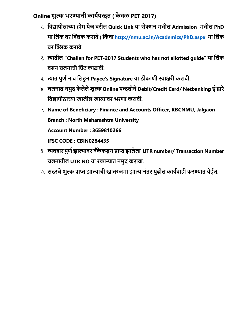Online शुल्क भरण्याची कार्यपध्दत ( केवळ PET 2017)

- १. विद्यापीठाच्या होम पेज वरील Quick Link या सेक्शन मधील Admission मधील PhD या िलंक वर İƑक करावे ( िकं वा http://nmu.ac.in/Academics/PhD.aspx या िलंक <u>वर क्लिक करावे</u>
- २. ȑातील "Challan for PET-2017 Students who has not allotted guide" या िलंक वरुन चलनाची प्रिंट काढावी.
- ३. त्यात पुर्ण नाव लिहुन Payee's Signature या ठीकाणी स्वाक्षरी करावी.
- ४. चलनात नमुद केलेले शुल्क Online पध्दतीने Debit/Credit Card/ Netbanking ई द्वारे विद्यापीठाच्या खालील खात्यावर भरणा करावी.
- ५. Name of Beneficiary : Finance and Accounts Officer, KBCNMU, Jalgaon Branch : North Maharashtra University Account Number : 3659810266

IFSC CODE : CBIN0284435

- ६. व्यवहार पुर्ण झाल्यावर बँकेकडुन प्राप्त झालेला UTR number/ Transaction Number चलनातील UTR NO या रकाɊात नमुद करावा.
- ७. सदरचे शुल्क प्राप्त झाल्याची खातरजमा झाल्यानंतर पुढील कार्यवाही करण्यात येईल.